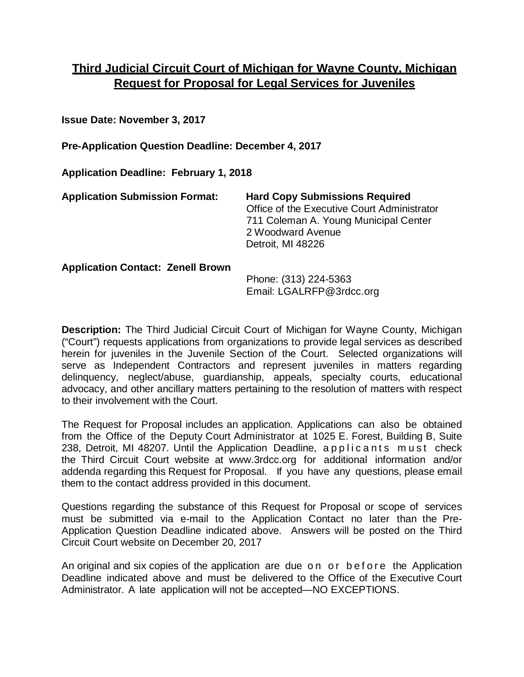# **Third Judicial Circuit Court of Michigan for Wayne County, Michigan Request for Proposal for Legal Services for Juveniles**

**Issue Date: November 3, 2017**

**Pre-Application Question Deadline: December 4, 2017**

**Application Deadline: February 1, 2018**

| <b>Application Submission Format:</b>    | <b>Hard Copy Submissions Required</b><br>Office of the Executive Court Administrator<br>711 Coleman A. Young Municipal Center<br>2 Woodward Avenue<br>Detroit, MI 48226 |
|------------------------------------------|-------------------------------------------------------------------------------------------------------------------------------------------------------------------------|
| <b>Application Contact: Zenell Brown</b> | Phone: (313) 224-5363                                                                                                                                                   |

 $P$ hone: (313) 224-536 Email: LGALRFP@3rdcc.org

**Description:** The Third Judicial Circuit Court of Michigan for Wayne County, Michigan ("Court") requests applications from organizations to provide legal services as described herein for juveniles in the Juvenile Section of the Court. Selected organizations will serve as Independent Contractors and represent juveniles in matters regarding delinquency, neglect/abuse, guardianship, appeals, specialty courts, educational advocacy, and other ancillary matters pertaining to the resolution of matters with respect to their involvement with the Court.

The Request for Proposal includes an application. Applications can also be obtained from the Office of the Deputy Court Administrator at 1025 E. Forest, Building B, Suite 238, Detroit, MI 48207. Until the Application Deadline, applicants must check the Third Circuit Court website at www.3rdcc.org for additional information and/or addenda regarding this Request for Proposal. If you have any questions, please email them to the contact address provided in this document.

Questions regarding the substance of this Request for Proposal or scope of services must be submitted via e-mail to the Application Contact no later than the Pre-Application Question Deadline indicated above. Answers will be posted on the Third Circuit Court website on December 20, 2017

An original and six copies of the application are due on or before the Application Deadline indicated above and must be delivered to the Office of the Executive Court Administrator. A late application will not be accepted—NO EXCEPTIONS.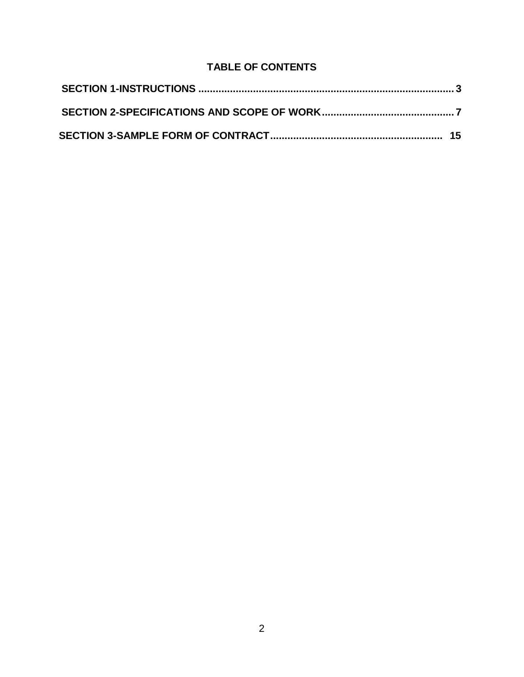# **TABLE OF CONTENTS**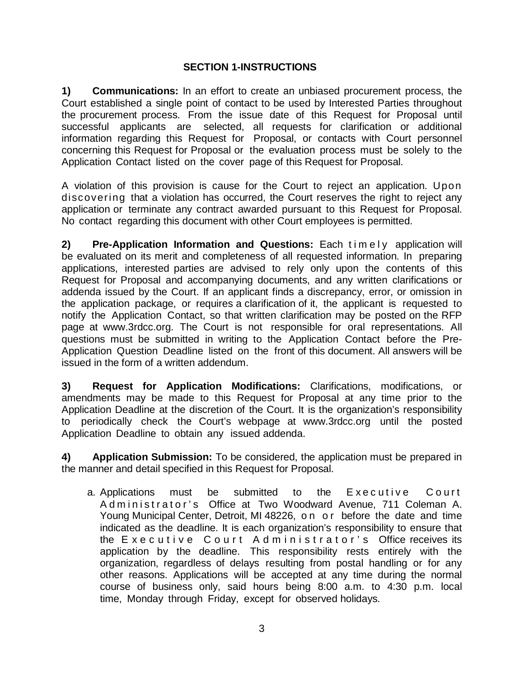### **SECTION 1-INSTRUCTIONS**

<span id="page-2-0"></span>**1) Communications:** In an effort to create an unbiased procurement process, the Court established a single point of contact to be used by Interested Parties throughout the procurement process. From the issue date of this Request for Proposal until successful applicants are selected, all requests for clarification or additional information regarding this Request for Proposal, or contacts with Court personnel concerning this Request for Proposal or the evaluation process must be solely to the Application Contact listed on the cover page of this Request for Proposal.

A violation of this provision is cause for the Court to reject an application. Upon discovering that a violation has occurred, the Court reserves the right to reject any application or terminate any contract awarded pursuant to this Request for Proposal. No contact regarding this document with other Court employees is permitted.

**2) Pre-Application Information and Questions:** Each timely application will be evaluated on its merit and completeness of all requested information. In preparing applications, interested parties are advised to rely only upon the contents of this Request for Proposal and accompanying documents, and any written clarifications or addenda issued by the Court. If an applicant finds a discrepancy, error, or omission in the application package, or requires a clarification of it, the applicant is requested to notify the Application Contact, so that written clarification may be posted on the RFP page at www.3rdcc.org. The Court is not responsible for oral representations. All questions must be submitted in writing to the Application Contact before the Pre-Application Question Deadline listed on the front of this document. All answers will be issued in the form of a written addendum.

**3) Request for Application Modifications:** Clarifications, modifications, or amendments may be made to this Request for Proposal at any time prior to the Application Deadline at the discretion of the Court. It is the organization's responsibility to periodically check the Court's webpage at www.3rdcc.org until the posted Application Deadline to obtain any issued addenda.

**4) Application Submission:** To be considered, the application must be prepared in the manner and detail specified in this Request for Proposal.

a. Applications must be submitted to the Executive Court Administrator's Office at Two Woodward Avenue, 711 Coleman A. Young Municipal Center, Detroit, MI 48226, on or before the date and time indicated as the deadline. It is each organization's responsibility to ensure that the Executive Court Administrator's Office receives its application by the deadline. This responsibility rests entirely with the organization, regardless of delays resulting from postal handling or for any other reasons. Applications will be accepted at any time during the normal course of business only, said hours being 8:00 a.m. to 4:30 p.m. local time, Monday through Friday, except for observed holidays.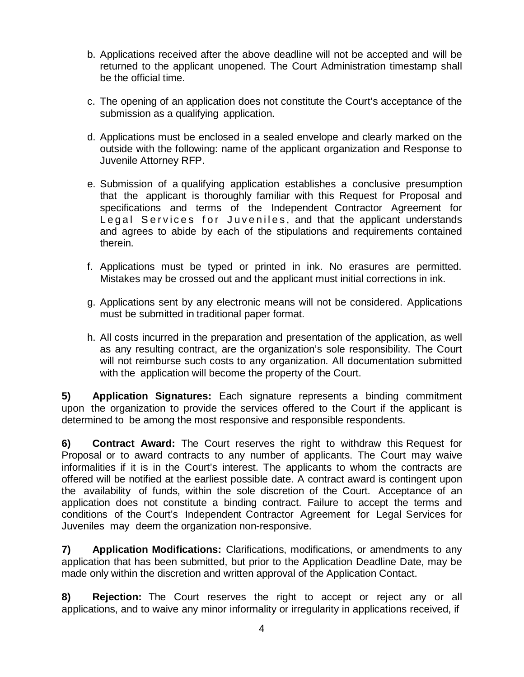- b. Applications received after the above deadline will not be accepted and will be returned to the applicant unopened. The Court Administration timestamp shall be the official time.
- c. The opening of an application does not constitute the Court's acceptance of the submission as a qualifying application.
- d. Applications must be enclosed in a sealed envelope and clearly marked on the outside with the following: name of the applicant organization and Response to Juvenile Attorney RFP.
- e. Submission of a qualifying application establishes a conclusive presumption that the applicant is thoroughly familiar with this Request for Proposal and specifications and terms of the Independent Contractor Agreement for Legal Services for Juveniles, and that the applicant understands and agrees to abide by each of the stipulations and requirements contained therein.
- f. Applications must be typed or printed in ink. No erasures are permitted. Mistakes may be crossed out and the applicant must initial corrections in ink.
- g. Applications sent by any electronic means will not be considered. Applications must be submitted in traditional paper format.
- h. All costs incurred in the preparation and presentation of the application, as well as any resulting contract, are the organization's sole responsibility. The Court will not reimburse such costs to any organization. All documentation submitted with the application will become the property of the Court.

**5) Application Signatures:** Each signature represents a binding commitment upon the organization to provide the services offered to the Court if the applicant is determined to be among the most responsive and responsible respondents.

**6) Contract Award:** The Court reserves the right to withdraw this Request for Proposal or to award contracts to any number of applicants. The Court may waive informalities if it is in the Court's interest. The applicants to whom the contracts are offered will be notified at the earliest possible date. A contract award is contingent upon the availability of funds, within the sole discretion of the Court. Acceptance of an application does not constitute a binding contract. Failure to accept the terms and conditions of the Court's Independent Contractor Agreement for Legal Services for Juveniles may deem the organization non-responsive.

**7) Application Modifications:** Clarifications, modifications, or amendments to any application that has been submitted, but prior to the Application Deadline Date, may be made only within the discretion and written approval of the Application Contact.

**8) Rejection:** The Court reserves the right to accept or reject any or all applications, and to waive any minor informality or irregularity in applications received, if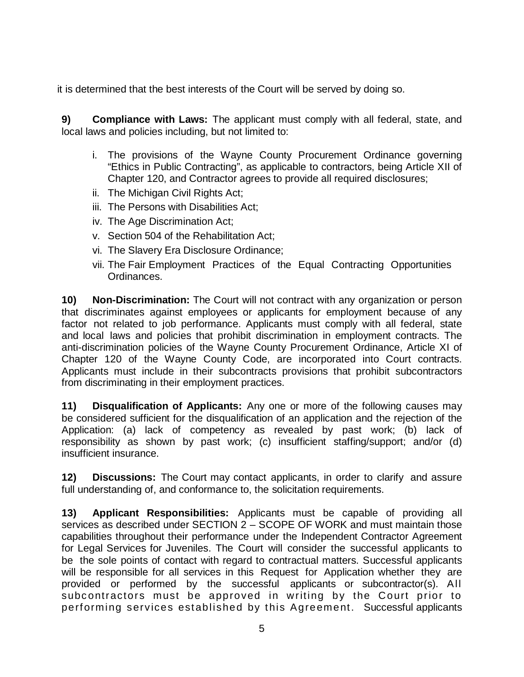it is determined that the best interests of the Court will be served by doing so.

**9) Compliance with Laws:** The applicant must comply with all federal, state, and local laws and policies including, but not limited to:

- i. The provisions of the Wayne County Procurement Ordinance governing "Ethics in Public Contracting", as applicable to contractors, being Article XII of Chapter 120, and Contractor agrees to provide all required disclosures;
- ii. The Michigan Civil Rights Act;
- iii. The Persons with Disabilities Act;
- iv. The Age Discrimination Act;
- v. Section 504 of the Rehabilitation Act;
- vi. The Slavery Era Disclosure Ordinance;
- vii. The Fair Employment Practices of the Equal Contracting Opportunities Ordinances.

**10) Non-Discrimination:** The Court will not contract with any organization or person that discriminates against employees or applicants for employment because of any factor not related to job performance. Applicants must comply with all federal, state and local laws and policies that prohibit discrimination in employment contracts. The anti-discrimination policies of the Wayne County Procurement Ordinance, Article XI of Chapter 120 of the Wayne County Code, are incorporated into Court contracts. Applicants must include in their subcontracts provisions that prohibit subcontractors from discriminating in their employment practices.

**11) Disqualification of Applicants:** Any one or more of the following causes may be considered sufficient for the disqualification of an application and the rejection of the Application: (a) lack of competency as revealed by past work; (b) lack of responsibility as shown by past work; (c) insufficient staffing/support; and/or (d) insufficient insurance.

**12) Discussions:** The Court may contact applicants, in order to clarify and assure full understanding of, and conformance to, the solicitation requirements.

**13) Applicant Responsibilities:** Applicants must be capable of providing all services as described under SECTION 2 – SCOPE OF WORK and must maintain those capabilities throughout their performance under the Independent Contractor Agreement for Legal Services for Juveniles. The Court will consider the successful applicants to be the sole points of contact with regard to contractual matters. Successful applicants will be responsible for all services in this Request for Application whether they are provided or performed by the successful applicants or subcontractor(s). All subcontractors must be approved in writing by the Court prior to performing services established by this Agreement. Successful applicants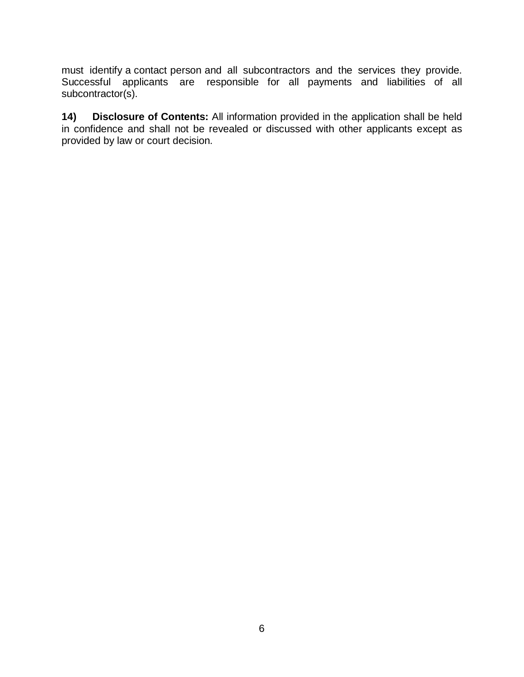must identify a contact person and all subcontractors and the services they provide. Successful applicants are responsible for all payments and liabilities of all subcontractor(s).

**14) Disclosure of Contents:** All information provided in the application shall be held in confidence and shall not be revealed or discussed with other applicants except as provided by law or court decision.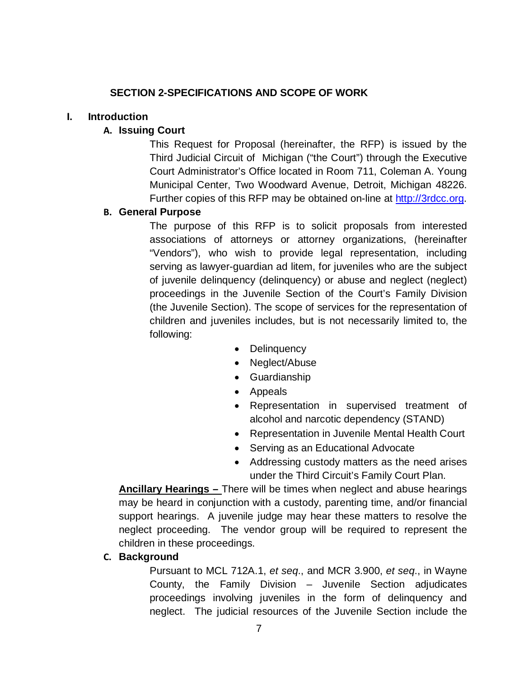### **SECTION 2-SPECIFICATIONS AND SCOPE OF WORK**

#### <span id="page-6-0"></span>**I. Introduction**

### **A. Issuing Court**

This Request for Proposal (hereinafter, the RFP) is issued by the Third Judicial Circuit of Michigan ("the Court") through the Executive Court Administrator's Office located in Room 711, Coleman A. Young Municipal Center, Two Woodward Avenue, Detroit, Michigan 48226. Further copies of this RFP may be obtained on-line at [http://3rdcc.org.](http://3rdcc.org/)

### **B. General Purpose**

The purpose of this RFP is to solicit proposals from interested associations of attorneys or attorney organizations, (hereinafter "Vendors"), who wish to provide legal representation, including serving as lawyer-guardian ad litem, for juveniles who are the subject of juvenile delinquency (delinquency) or abuse and neglect (neglect) proceedings in the Juvenile Section of the Court's Family Division (the Juvenile Section). The scope of services for the representation of children and juveniles includes, but is not necessarily limited to, the following:

- Delinquency
- Neglect/Abuse
- Guardianship
- Appeals
- Representation in supervised treatment of alcohol and narcotic dependency (STAND)
- Representation in Juvenile Mental Health Court
- Serving as an Educational Advocate
- Addressing custody matters as the need arises under the Third Circuit's Family Court Plan.

**Ancillary Hearings –** There will be times when neglect and abuse hearings may be heard in conjunction with a custody, parenting time, and/or financial support hearings. A juvenile judge may hear these matters to resolve the neglect proceeding. The vendor group will be required to represent the children in these proceedings.

### **C. Background**

Pursuant to MCL 712A.1, *et seq*., and MCR 3.900, *et seq*., in Wayne County, the Family Division – Juvenile Section adjudicates proceedings involving juveniles in the form of delinquency and neglect. The judicial resources of the Juvenile Section include the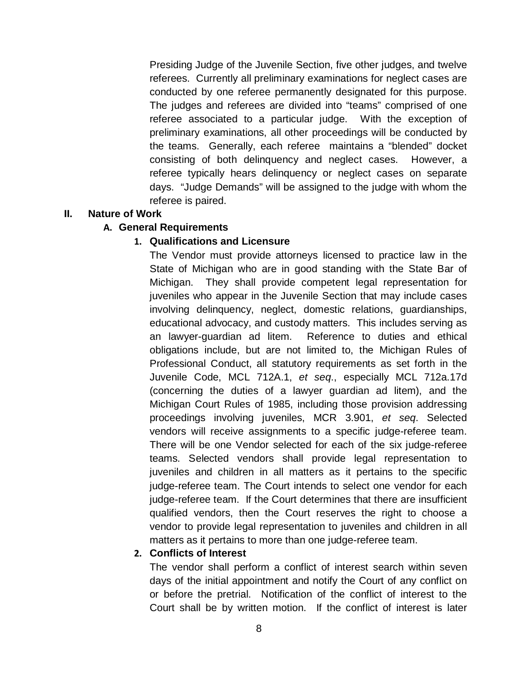Presiding Judge of the Juvenile Section, five other judges, and twelve referees. Currently all preliminary examinations for neglect cases are conducted by one referee permanently designated for this purpose. The judges and referees are divided into "teams" comprised of one referee associated to a particular judge. With the exception of preliminary examinations, all other proceedings will be conducted by the teams. Generally, each referee maintains a "blended" docket consisting of both delinquency and neglect cases. However, a referee typically hears delinquency or neglect cases on separate days. "Judge Demands" will be assigned to the judge with whom the referee is paired.

### **II. Nature of Work**

### **A. General Requirements**

#### **1. Qualifications and Licensure**

The Vendor must provide attorneys licensed to practice law in the State of Michigan who are in good standing with the State Bar of Michigan. They shall provide competent legal representation for juveniles who appear in the Juvenile Section that may include cases involving delinquency, neglect, domestic relations, guardianships, educational advocacy, and custody matters. This includes serving as an lawyer-guardian ad litem. Reference to duties and ethical obligations include, but are not limited to, the Michigan Rules of Professional Conduct, all statutory requirements as set forth in the Juvenile Code, MCL 712A.1, *et seq*., especially MCL 712a.17d (concerning the duties of a lawyer guardian ad litem), and the Michigan Court Rules of 1985, including those provision addressing proceedings involving juveniles, MCR 3.901, *et seq*. Selected vendors will receive assignments to a specific judge-referee team. There will be one Vendor selected for each of the six judge-referee teams. Selected vendors shall provide legal representation to juveniles and children in all matters as it pertains to the specific judge-referee team. The Court intends to select one vendor for each judge-referee team. If the Court determines that there are insufficient qualified vendors, then the Court reserves the right to choose a vendor to provide legal representation to juveniles and children in all matters as it pertains to more than one judge-referee team.

### **2. Conflicts of Interest**

The vendor shall perform a conflict of interest search within seven days of the initial appointment and notify the Court of any conflict on or before the pretrial. Notification of the conflict of interest to the Court shall be by written motion. If the conflict of interest is later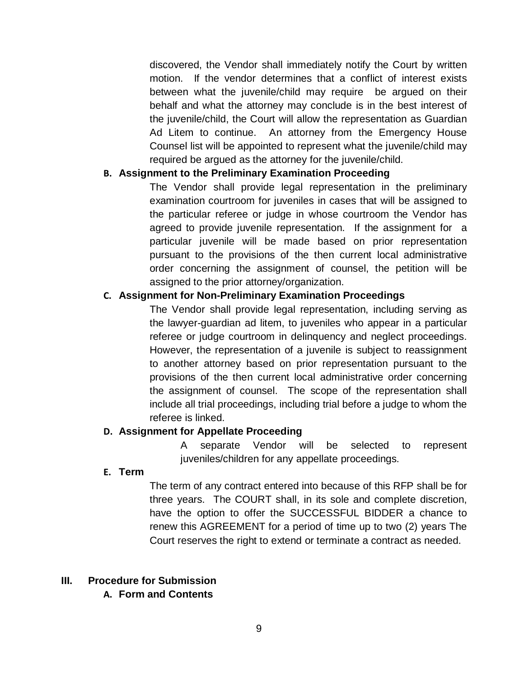discovered, the Vendor shall immediately notify the Court by written motion. If the vendor determines that a conflict of interest exists between what the juvenile/child may require be argued on their behalf and what the attorney may conclude is in the best interest of the juvenile/child, the Court will allow the representation as Guardian Ad Litem to continue. An attorney from the Emergency House Counsel list will be appointed to represent what the juvenile/child may required be argued as the attorney for the juvenile/child.

### **B. Assignment to the Preliminary Examination Proceeding**

The Vendor shall provide legal representation in the preliminary examination courtroom for juveniles in cases that will be assigned to the particular referee or judge in whose courtroom the Vendor has agreed to provide juvenile representation. If the assignment for a particular juvenile will be made based on prior representation pursuant to the provisions of the then current local administrative order concerning the assignment of counsel, the petition will be assigned to the prior attorney/organization.

### **C. Assignment for Non-Preliminary Examination Proceedings**

The Vendor shall provide legal representation, including serving as the lawyer-guardian ad litem, to juveniles who appear in a particular referee or judge courtroom in delinquency and neglect proceedings. However, the representation of a juvenile is subject to reassignment to another attorney based on prior representation pursuant to the provisions of the then current local administrative order concerning the assignment of counsel. The scope of the representation shall include all trial proceedings, including trial before a judge to whom the referee is linked.

### **D. Assignment for Appellate Proceeding**

A separate Vendor will be selected to represent juveniles/children for any appellate proceedings.

### **E. Term**

The term of any contract entered into because of this RFP shall be for three years. The COURT shall, in its sole and complete discretion, have the option to offer the SUCCESSFUL BIDDER a chance to renew this AGREEMENT for a period of time up to two (2) years The Court reserves the right to extend or terminate a contract as needed.

### **III. Procedure for Submission**

**A. Form and Contents**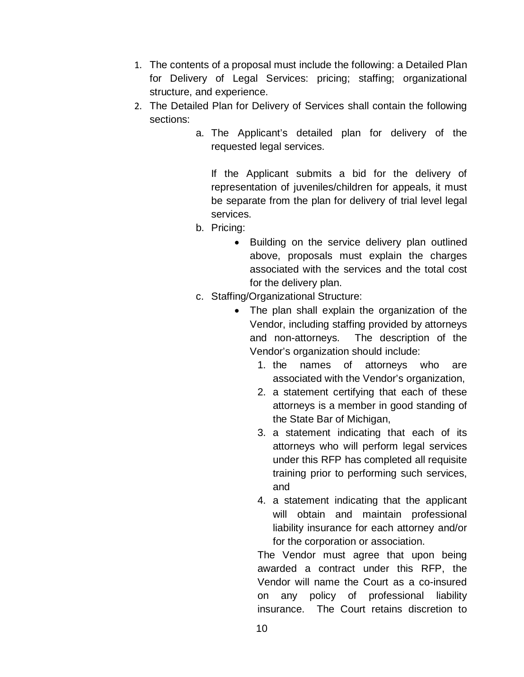- 1. The contents of a proposal must include the following: a Detailed Plan for Delivery of Legal Services: pricing; staffing; organizational structure, and experience.
- 2. The Detailed Plan for Delivery of Services shall contain the following sections:
	- a. The Applicant's detailed plan for delivery of the requested legal services.

If the Applicant submits a bid for the delivery of representation of juveniles/children for appeals, it must be separate from the plan for delivery of trial level legal services.

- b. Pricing:
	- Building on the service delivery plan outlined above, proposals must explain the charges associated with the services and the total cost for the delivery plan.
- c. Staffing/Organizational Structure:
	- The plan shall explain the organization of the Vendor, including staffing provided by attorneys and non-attorneys. The description of the Vendor's organization should include:
		- 1. the names of attorneys who are associated with the Vendor's organization,
		- 2. a statement certifying that each of these attorneys is a member in good standing of the State Bar of Michigan,
		- 3. a statement indicating that each of its attorneys who will perform legal services under this RFP has completed all requisite training prior to performing such services, and
		- 4. a statement indicating that the applicant will obtain and maintain professional liability insurance for each attorney and/or for the corporation or association.

The Vendor must agree that upon being awarded a contract under this RFP, the Vendor will name the Court as a co-insured on any policy of professional liability insurance. The Court retains discretion to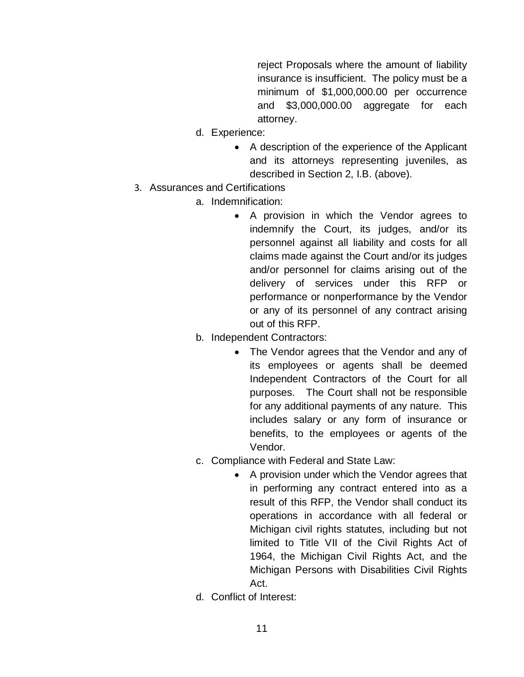reject Proposals where the amount of liability insurance is insufficient. The policy must be a minimum of \$1,000,000.00 per occurrence and \$3,000,000.00 aggregate for each attorney.

- d. Experience:
	- A description of the experience of the Applicant and its attorneys representing juveniles, as described in Section 2, I.B. (above).
- 3. Assurances and Certifications
	- a. Indemnification:
		- A provision in which the Vendor agrees to indemnify the Court, its judges, and/or its personnel against all liability and costs for all claims made against the Court and/or its judges and/or personnel for claims arising out of the delivery of services under this RFP or performance or nonperformance by the Vendor or any of its personnel of any contract arising out of this RFP.
	- b. Independent Contractors:
		- The Vendor agrees that the Vendor and any of its employees or agents shall be deemed Independent Contractors of the Court for all purposes. The Court shall not be responsible for any additional payments of any nature. This includes salary or any form of insurance or benefits, to the employees or agents of the Vendor.
	- c. Compliance with Federal and State Law:
		- A provision under which the Vendor agrees that in performing any contract entered into as a result of this RFP, the Vendor shall conduct its operations in accordance with all federal or Michigan civil rights statutes, including but not limited to Title VII of the Civil Rights Act of 1964, the Michigan Civil Rights Act, and the Michigan Persons with Disabilities Civil Rights Act.
	- d. Conflict of Interest: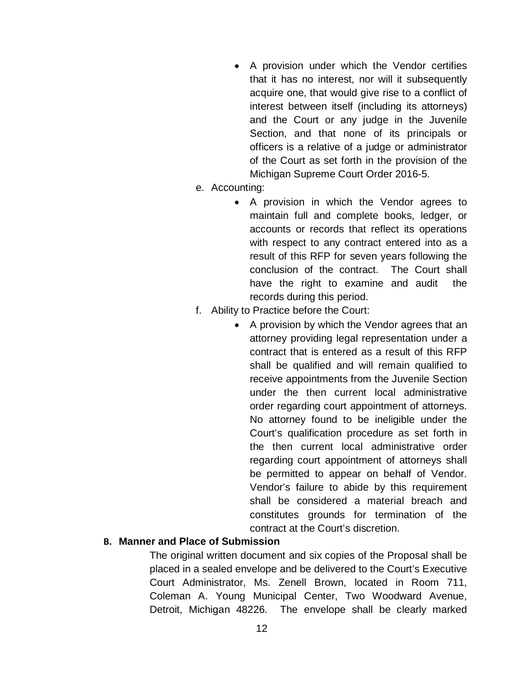- A provision under which the Vendor certifies that it has no interest, nor will it subsequently acquire one, that would give rise to a conflict of interest between itself (including its attorneys) and the Court or any judge in the Juvenile Section, and that none of its principals or officers is a relative of a judge or administrator of the Court as set forth in the provision of the Michigan Supreme Court Order 2016-5.
- e. Accounting:
	- A provision in which the Vendor agrees to maintain full and complete books, ledger, or accounts or records that reflect its operations with respect to any contract entered into as a result of this RFP for seven years following the conclusion of the contract. The Court shall have the right to examine and audit the records during this period.
- f. Ability to Practice before the Court:
	- A provision by which the Vendor agrees that an attorney providing legal representation under a contract that is entered as a result of this RFP shall be qualified and will remain qualified to receive appointments from the Juvenile Section under the then current local administrative order regarding court appointment of attorneys. No attorney found to be ineligible under the Court's qualification procedure as set forth in the then current local administrative order regarding court appointment of attorneys shall be permitted to appear on behalf of Vendor. Vendor's failure to abide by this requirement shall be considered a material breach and constitutes grounds for termination of the contract at the Court's discretion.

### **B. Manner and Place of Submission**

The original written document and six copies of the Proposal shall be placed in a sealed envelope and be delivered to the Court's Executive Court Administrator, Ms. Zenell Brown, located in Room 711, Coleman A. Young Municipal Center, Two Woodward Avenue, Detroit, Michigan 48226. The envelope shall be clearly marked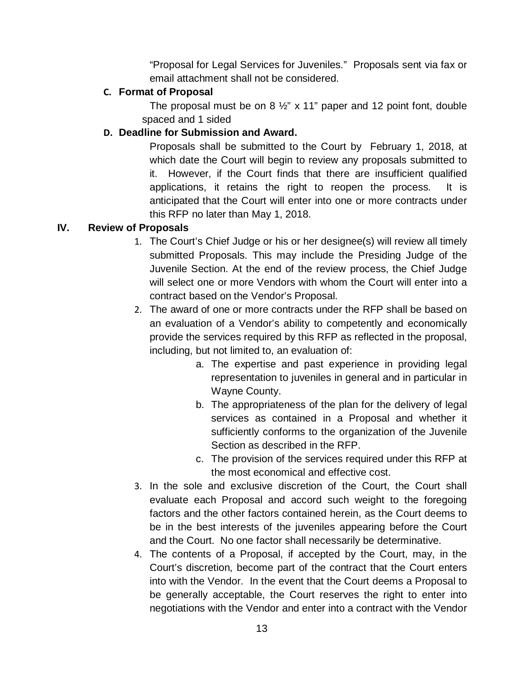"Proposal for Legal Services for Juveniles." Proposals sent via fax or email attachment shall not be considered.

## **C. Format of Proposal**

The proposal must be on 8 ½" x 11" paper and 12 point font, double spaced and 1 sided

## **D. Deadline for Submission and Award.**

Proposals shall be submitted to the Court by February 1, 2018, at which date the Court will begin to review any proposals submitted to it. However, if the Court finds that there are insufficient qualified applications, it retains the right to reopen the process. It is anticipated that the Court will enter into one or more contracts under this RFP no later than May 1, 2018.

## **IV. Review of Proposals**

- 1. The Court's Chief Judge or his or her designee(s) will review all timely submitted Proposals. This may include the Presiding Judge of the Juvenile Section. At the end of the review process, the Chief Judge will select one or more Vendors with whom the Court will enter into a contract based on the Vendor's Proposal.
- 2. The award of one or more contracts under the RFP shall be based on an evaluation of a Vendor's ability to competently and economically provide the services required by this RFP as reflected in the proposal, including, but not limited to, an evaluation of:
	- a. The expertise and past experience in providing legal representation to juveniles in general and in particular in Wayne County.
	- b. The appropriateness of the plan for the delivery of legal services as contained in a Proposal and whether it sufficiently conforms to the organization of the Juvenile Section as described in the RFP.
	- c. The provision of the services required under this RFP at the most economical and effective cost.
- 3. In the sole and exclusive discretion of the Court, the Court shall evaluate each Proposal and accord such weight to the foregoing factors and the other factors contained herein, as the Court deems to be in the best interests of the juveniles appearing before the Court and the Court. No one factor shall necessarily be determinative.
- 4. The contents of a Proposal, if accepted by the Court, may, in the Court's discretion, become part of the contract that the Court enters into with the Vendor. In the event that the Court deems a Proposal to be generally acceptable, the Court reserves the right to enter into negotiations with the Vendor and enter into a contract with the Vendor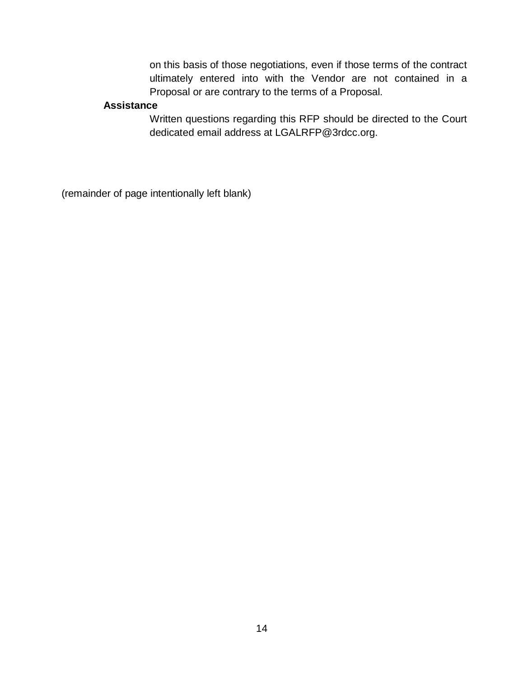on this basis of those negotiations, even if those terms of the contract ultimately entered into with the Vendor are not contained in a Proposal or are contrary to the terms of a Proposal.

### **Assistance**

Written questions regarding this RFP should be directed to the Court dedicated email address at LGALRFP@3rdcc.org.

(remainder of page intentionally left blank)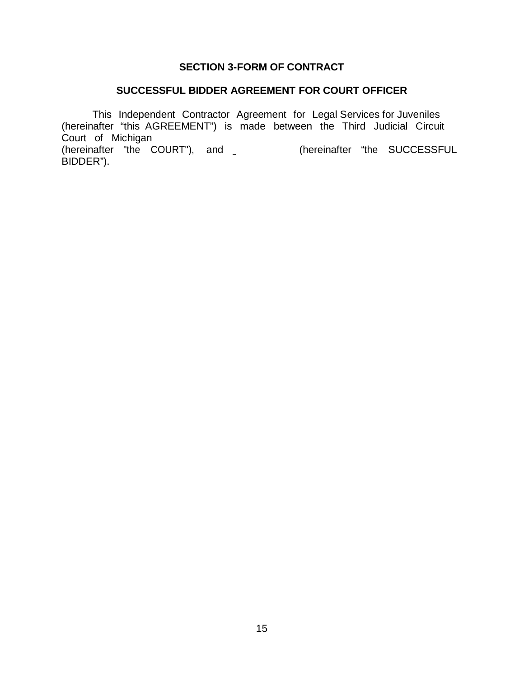### **SECTION 3-FORM OF CONTRACT**

## **SUCCESSFUL BIDDER AGREEMENT FOR COURT OFFICER**

This Independent Contractor Agreement for Legal Services for Juveniles (hereinafter "this AGREEMENT") is made between the Third Judicial Circuit Court of Michigan

(hereinafter "the COURT"), and (hereinafter "the SUCCESSFUL BIDDER").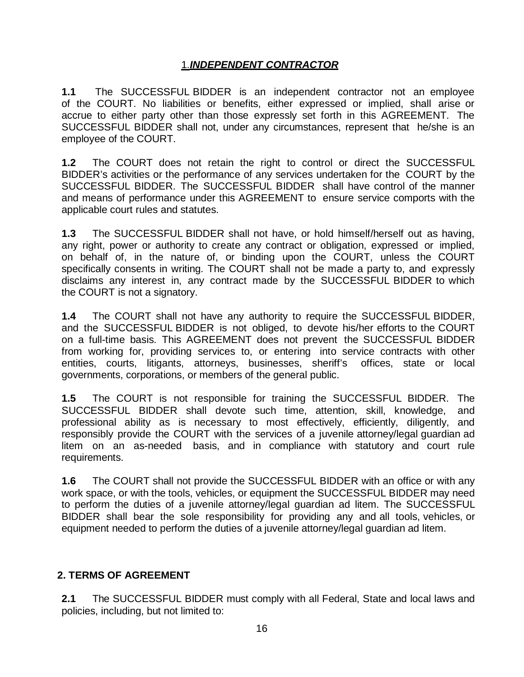## 1.*INDEPENDENT CONTRACTOR*

**1.1** The SUCCESSFUL BIDDER is an independent contractor not an employee of the COURT. No liabilities or benefits, either expressed or implied, shall arise or accrue to either party other than those expressly set forth in this AGREEMENT. The SUCCESSFUL BIDDER shall not, under any circumstances, represent that he/she is an employee of the COURT.

**1.2** The COURT does not retain the right to control or direct the SUCCESSFUL BIDDER's activities or the performance of any services undertaken for the COURT by the SUCCESSFUL BIDDER. The SUCCESSFUL BIDDER shall have control of the manner and means of performance under this AGREEMENT to ensure service comports with the applicable court rules and statutes.

**1.3** The SUCCESSFUL BIDDER shall not have, or hold himself/herself out as having, any right, power or authority to create any contract or obligation, expressed or implied, on behalf of, in the nature of, or binding upon the COURT, unless the COURT specifically consents in writing. The COURT shall not be made a party to, and expressly disclaims any interest in, any contract made by the SUCCESSFUL BIDDER to which the COURT is not a signatory.

**1.4** The COURT shall not have any authority to require the SUCCESSFUL BIDDER, and the SUCCESSFUL BIDDER is not obliged, to devote his/her efforts to the COURT on a full-time basis. This AGREEMENT does not prevent the SUCCESSFUL BIDDER from working for, providing services to, or entering into service contracts with other entities, courts, litigants, attorneys, businesses, sheriff's offices, state or local governments, corporations, or members of the general public.

**1.5** The COURT is not responsible for training the SUCCESSFUL BIDDER. The SUCCESSFUL BIDDER shall devote such time, attention, skill, knowledge, and professional ability as is necessary to most effectively, efficiently, diligently, and responsibly provide the COURT with the services of a juvenile attorney/legal guardian ad litem on an as-needed basis, and in compliance with statutory and court rule requirements.

**1.6** The COURT shall not provide the SUCCESSFUL BIDDER with an office or with any work space, or with the tools, vehicles, or equipment the SUCCESSFUL BIDDER may need to perform the duties of a juvenile attorney/legal guardian ad litem. The SUCCESSFUL BIDDER shall bear the sole responsibility for providing any and all tools, vehicles, or equipment needed to perform the duties of a juvenile attorney/legal guardian ad litem.

### **2. TERMS OF AGREEMENT**

**2.1** The SUCCESSFUL BIDDER must comply with all Federal, State and local laws and policies, including, but not limited to: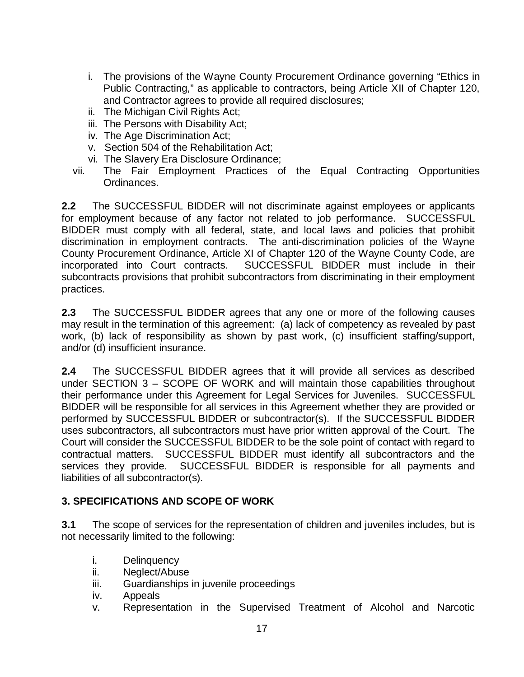- i. The provisions of the Wayne County Procurement Ordinance governing "Ethics in Public Contracting," as applicable to contractors, being Article XII of Chapter 120, and Contractor agrees to provide all required disclosures;
- ii. The Michigan Civil Rights Act;
- iii. The Persons with Disability Act;
- iv. The Age Discrimination Act;
- v. Section 504 of the Rehabilitation Act;
- vi. The Slavery Era Disclosure Ordinance;
- vii. The Fair Employment Practices of the Equal Contracting Opportunities Ordinances.

**2.2** The SUCCESSFUL BIDDER will not discriminate against employees or applicants for employment because of any factor not related to job performance. SUCCESSFUL BIDDER must comply with all federal, state, and local laws and policies that prohibit discrimination in employment contracts. The anti-discrimination policies of the Wayne County Procurement Ordinance, Article XI of Chapter 120 of the Wayne County Code, are incorporated into Court contracts. SUCCESSFUL BIDDER must include in their subcontracts provisions that prohibit subcontractors from discriminating in their employment practices.

**2.3** The SUCCESSFUL BIDDER agrees that any one or more of the following causes may result in the termination of this agreement: (a) lack of competency as revealed by past work, (b) lack of responsibility as shown by past work, (c) insufficient staffing/support, and/or (d) insufficient insurance.

**2.4** The SUCCESSFUL BIDDER agrees that it will provide all services as described under SECTION 3 – SCOPE OF WORK and will maintain those capabilities throughout their performance under this Agreement for Legal Services for Juveniles. SUCCESSFUL BIDDER will be responsible for all services in this Agreement whether they are provided or performed by SUCCESSFUL BIDDER or subcontractor(s). If the SUCCESSFUL BIDDER uses subcontractors, all subcontractors must have prior written approval of the Court. The Court will consider the SUCCESSFUL BIDDER to be the sole point of contact with regard to contractual matters. SUCCESSFUL BIDDER must identify all subcontractors and the services they provide. SUCCESSFUL BIDDER is responsible for all payments and liabilities of all subcontractor(s).

### **3. SPECIFICATIONS AND SCOPE OF WORK**

**3.1** The scope of services for the representation of children and juveniles includes, but is not necessarily limited to the following:

- i. Delinquency
- ii. Neglect/Abuse
- iii. Guardianships in juvenile proceedings
- iv. Appeals
- v. Representation in the Supervised Treatment of Alcohol and Narcotic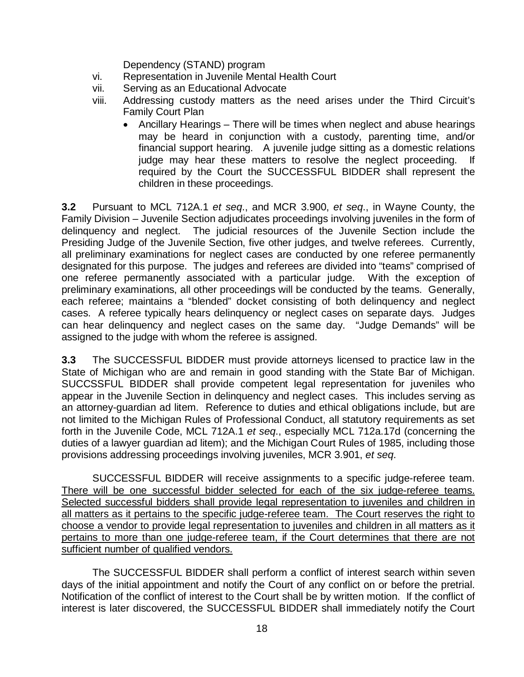Dependency (STAND) program

- vi. Representation in Juvenile Mental Health Court
- vii. Serving as an Educational Advocate
- viii. Addressing custody matters as the need arises under the Third Circuit's Family Court Plan
	- Ancillary Hearings There will be times when neglect and abuse hearings may be heard in conjunction with a custody, parenting time, and/or financial support hearing. A juvenile judge sitting as a domestic relations judge may hear these matters to resolve the neglect proceeding. required by the Court the SUCCESSFUL BIDDER shall represent the children in these proceedings.

**3.2** Pursuant to MCL 712A.1 *et seq*., and MCR 3.900, *et seq*., in Wayne County, the Family Division – Juvenile Section adjudicates proceedings involving juveniles in the form of delinquency and neglect. The judicial resources of the Juvenile Section include the Presiding Judge of the Juvenile Section, five other judges, and twelve referees. Currently, all preliminary examinations for neglect cases are conducted by one referee permanently designated for this purpose. The judges and referees are divided into "teams" comprised of one referee permanently associated with a particular judge. With the exception of preliminary examinations, all other proceedings will be conducted by the teams. Generally, each referee; maintains a "blended" docket consisting of both delinquency and neglect cases. A referee typically hears delinquency or neglect cases on separate days. Judges can hear delinquency and neglect cases on the same day. "Judge Demands" will be assigned to the judge with whom the referee is assigned.

**3.3** The SUCCESSFUL BIDDER must provide attorneys licensed to practice law in the State of Michigan who are and remain in good standing with the State Bar of Michigan. SUCCSSFUL BIDDER shall provide competent legal representation for juveniles who appear in the Juvenile Section in delinquency and neglect cases. This includes serving as an attorney-guardian ad litem. Reference to duties and ethical obligations include, but are not limited to the Michigan Rules of Professional Conduct, all statutory requirements as set forth in the Juvenile Code, MCL 712A.1 *et seq*., especially MCL 712a.17d (concerning the duties of a lawyer guardian ad litem); and the Michigan Court Rules of 1985, including those provisions addressing proceedings involving juveniles, MCR 3.901, *et seq*.

SUCCESSFUL BIDDER will receive assignments to a specific judge-referee team. There will be one successful bidder selected for each of the six judge-referee teams. Selected successful bidders shall provide legal representation to juveniles and children in all matters as it pertains to the specific judge-referee team. The Court reserves the right to choose a vendor to provide legal representation to juveniles and children in all matters as it pertains to more than one judge-referee team, if the Court determines that there are not sufficient number of qualified vendors.

The SUCCESSFUL BIDDER shall perform a conflict of interest search within seven days of the initial appointment and notify the Court of any conflict on or before the pretrial. Notification of the conflict of interest to the Court shall be by written motion. If the conflict of interest is later discovered, the SUCCESSFUL BIDDER shall immediately notify the Court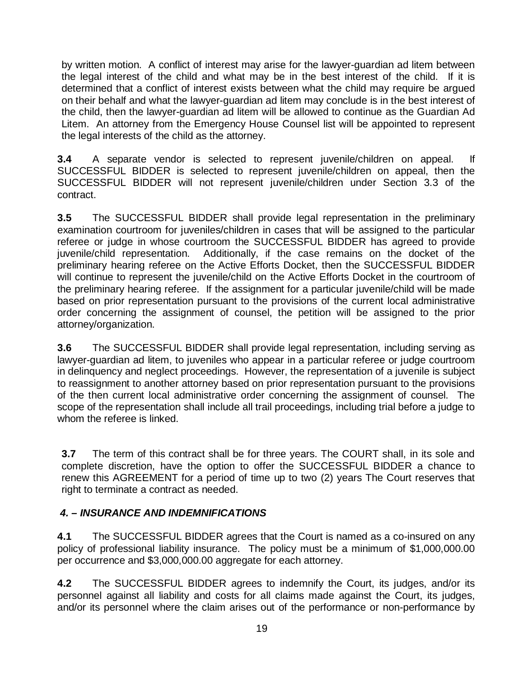by written motion. A conflict of interest may arise for the lawyer-guardian ad litem between the legal interest of the child and what may be in the best interest of the child. If it is determined that a conflict of interest exists between what the child may require be argued on their behalf and what the lawyer-guardian ad litem may conclude is in the best interest of the child, then the lawyer-guardian ad litem will be allowed to continue as the Guardian Ad Litem. An attorney from the Emergency House Counsel list will be appointed to represent the legal interests of the child as the attorney.

**3.4** A separate vendor is selected to represent juvenile/children on appeal. If SUCCESSFUL BIDDER is selected to represent juvenile/children on appeal, then the SUCCESSFUL BIDDER will not represent juvenile/children under Section 3.3 of the contract.

**3.5** The SUCCESSFUL BIDDER shall provide legal representation in the preliminary examination courtroom for juveniles/children in cases that will be assigned to the particular referee or judge in whose courtroom the SUCCESSFUL BIDDER has agreed to provide juvenile/child representation. Additionally, if the case remains on the docket of the preliminary hearing referee on the Active Efforts Docket, then the SUCCESSFUL BIDDER will continue to represent the juvenile/child on the Active Efforts Docket in the courtroom of the preliminary hearing referee. If the assignment for a particular juvenile/child will be made based on prior representation pursuant to the provisions of the current local administrative order concerning the assignment of counsel, the petition will be assigned to the prior attorney/organization.

**3.6** The SUCCESSFUL BIDDER shall provide legal representation, including serving as lawyer-guardian ad litem, to juveniles who appear in a particular referee or judge courtroom in delinquency and neglect proceedings. However, the representation of a juvenile is subject to reassignment to another attorney based on prior representation pursuant to the provisions of the then current local administrative order concerning the assignment of counsel. The scope of the representation shall include all trail proceedings, including trial before a judge to whom the referee is linked.

**3.7** The term of this contract shall be for three years. The COURT shall, in its sole and complete discretion, have the option to offer the SUCCESSFUL BIDDER a chance to renew this AGREEMENT for a period of time up to two (2) years The Court reserves that right to terminate a contract as needed.

### *4. – INSURANCE AND INDEMNIFICATIONS*

**4.1** The SUCCESSFUL BIDDER agrees that the Court is named as a co-insured on any policy of professional liability insurance. The policy must be a minimum of \$1,000,000.00 per occurrence and \$3,000,000.00 aggregate for each attorney.

**4.2** The SUCCESSFUL BIDDER agrees to indemnify the Court, its judges, and/or its personnel against all liability and costs for all claims made against the Court, its judges, and/or its personnel where the claim arises out of the performance or non-performance by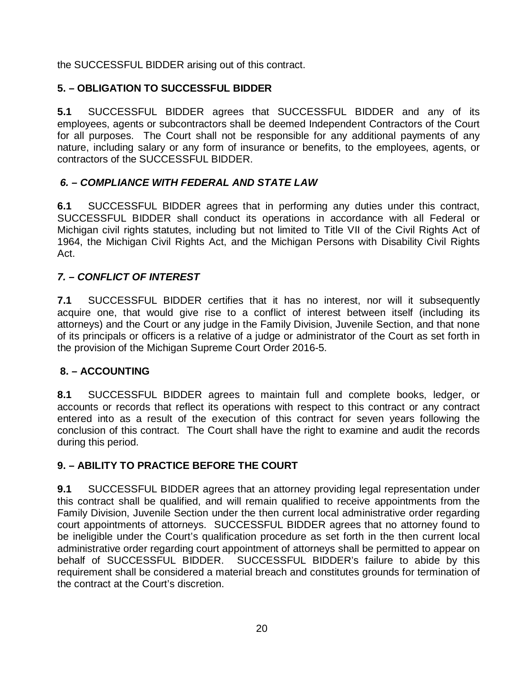the SUCCESSFUL BIDDER arising out of this contract.

# **5. – OBLIGATION TO SUCCESSFUL BIDDER**

**5.1** SUCCESSFUL BIDDER agrees that SUCCESSFUL BIDDER and any of its employees, agents or subcontractors shall be deemed Independent Contractors of the Court for all purposes. The Court shall not be responsible for any additional payments of any nature, including salary or any form of insurance or benefits, to the employees, agents, or contractors of the SUCCESSFUL BIDDER.

# *6. – COMPLIANCE WITH FEDERAL AND STATE LAW*

**6.1** SUCCESSFUL BIDDER agrees that in performing any duties under this contract, SUCCESSFUL BIDDER shall conduct its operations in accordance with all Federal or Michigan civil rights statutes, including but not limited to Title VII of the Civil Rights Act of 1964, the Michigan Civil Rights Act, and the Michigan Persons with Disability Civil Rights Act.

# *7. – CONFLICT OF INTEREST*

**7.1** SUCCESSFUL BIDDER certifies that it has no interest, nor will it subsequently acquire one, that would give rise to a conflict of interest between itself (including its attorneys) and the Court or any judge in the Family Division, Juvenile Section, and that none of its principals or officers is a relative of a judge or administrator of the Court as set forth in the provision of the Michigan Supreme Court Order 2016-5.

## **8. – ACCOUNTING**

**8.1** SUCCESSFUL BIDDER agrees to maintain full and complete books, ledger, or accounts or records that reflect its operations with respect to this contract or any contract entered into as a result of the execution of this contract for seven years following the conclusion of this contract. The Court shall have the right to examine and audit the records during this period.

## **9. – ABILITY TO PRACTICE BEFORE THE COURT**

**9.1** SUCCESSFUL BIDDER agrees that an attorney providing legal representation under this contract shall be qualified, and will remain qualified to receive appointments from the Family Division, Juvenile Section under the then current local administrative order regarding court appointments of attorneys. SUCCESSFUL BIDDER agrees that no attorney found to be ineligible under the Court's qualification procedure as set forth in the then current local administrative order regarding court appointment of attorneys shall be permitted to appear on behalf of SUCCESSFUL BIDDER. SUCCESSFUL BIDDER's failure to abide by this requirement shall be considered a material breach and constitutes grounds for termination of the contract at the Court's discretion.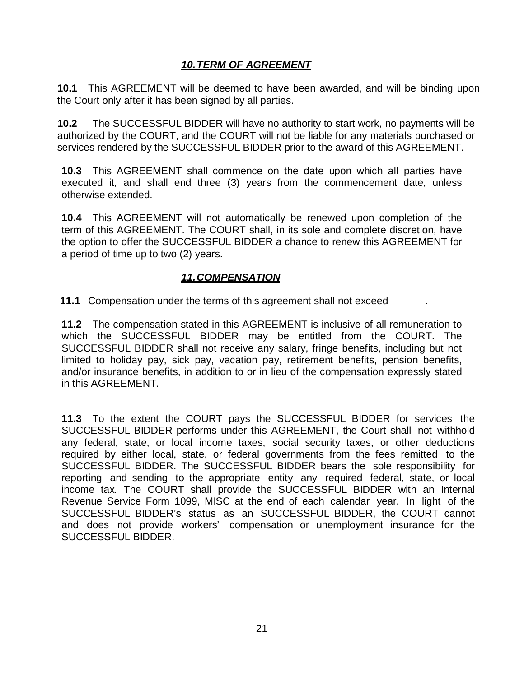## *10.TERM OF AGREEMENT*

**10.1** This AGREEMENT will be deemed to have been awarded, and will be binding upon the Court only after it has been signed by all parties.

**10.2** The SUCCESSFUL BIDDER will have no authority to start work, no payments will be authorized by the COURT, and the COURT will not be liable for any materials purchased or services rendered by the SUCCESSFUL BIDDER prior to the award of this AGREEMENT.

**10.3** This AGREEMENT shall commence on the date upon which all parties have executed it, and shall end three (3) years from the commencement date, unless otherwise extended.

**10.4** This AGREEMENT will not automatically be renewed upon completion of the term of this AGREEMENT. The COURT shall, in its sole and complete discretion, have the option to offer the SUCCESSFUL BIDDER a chance to renew this AGREEMENT for a period of time up to two (2) years.

## *11.COMPENSATION*

**11.1** Compensation under the terms of this agreement shall not exceed \_\_\_\_\_\_.

**11.2** The compensation stated in this AGREEMENT is inclusive of all remuneration to which the SUCCESSFUL BIDDER may be entitled from the COURT. The SUCCESSFUL BIDDER shall not receive any salary, fringe benefits, including but not limited to holiday pay, sick pay, vacation pay, retirement benefits, pension benefits, and/or insurance benefits, in addition to or in lieu of the compensation expressly stated in this AGREEMENT.

**11.3** To the extent the COURT pays the SUCCESSFUL BIDDER for services the SUCCESSFUL BIDDER performs under this AGREEMENT, the Court shall not withhold any federal, state, or local income taxes, social security taxes, or other deductions required by either local, state, or federal governments from the fees remitted to the SUCCESSFUL BIDDER. The SUCCESSFUL BIDDER bears the sole responsibility for reporting and sending to the appropriate entity any required federal, state, or local income tax. The COURT shall provide the SUCCESSFUL BIDDER with an Internal Revenue Service Form 1099, MISC at the end of each calendar year. In light of the SUCCESSFUL BIDDER's status as an SUCCESSFUL BIDDER, the COURT cannot and does not provide workers' compensation or unemployment insurance for the SUCCESSFUL BIDDER.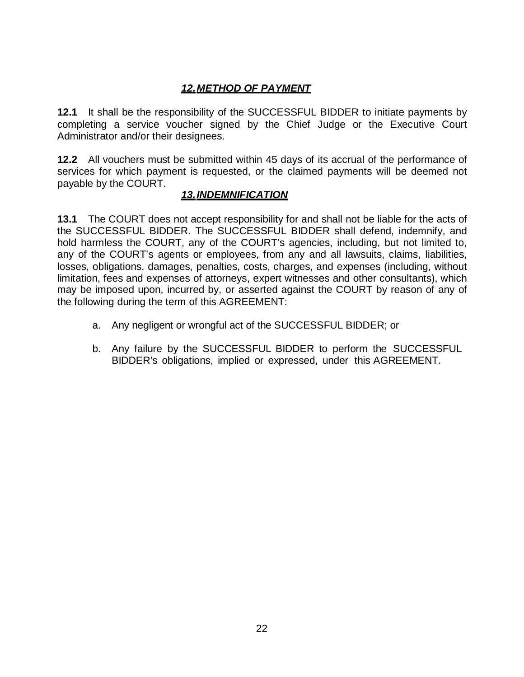# *12.METHOD OF PAYMENT*

**12.1** It shall be the responsibility of the SUCCESSFUL BIDDER to initiate payments by completing a service voucher signed by the Chief Judge or the Executive Court Administrator and/or their designees.

**12.2** All vouchers must be submitted within 45 days of its accrual of the performance of services for which payment is requested, or the claimed payments will be deemed not payable by the COURT.

### *13.INDEMNIFICATION*

**13.1** The COURT does not accept responsibility for and shall not be liable for the acts of the SUCCESSFUL BIDDER. The SUCCESSFUL BIDDER shall defend, indemnify, and hold harmless the COURT, any of the COURT's agencies, including, but not limited to, any of the COURT's agents or employees, from any and all lawsuits, claims, liabilities, losses, obligations, damages, penalties, costs, charges, and expenses (including, without limitation, fees and expenses of attorneys, expert witnesses and other consultants), which may be imposed upon, incurred by, or asserted against the COURT by reason of any of the following during the term of this AGREEMENT:

- a. Any negligent or wrongful act of the SUCCESSFUL BIDDER; or
- b. Any failure by the SUCCESSFUL BIDDER to perform the SUCCESSFUL BIDDER's obligations, implied or expressed, under this AGREEMENT.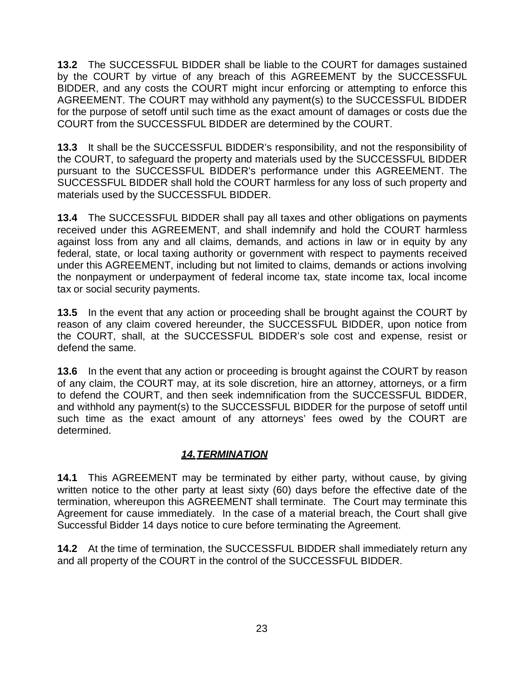**13.2** The SUCCESSFUL BIDDER shall be liable to the COURT for damages sustained by the COURT by virtue of any breach of this AGREEMENT by the SUCCESSFUL BIDDER, and any costs the COURT might incur enforcing or attempting to enforce this AGREEMENT. The COURT may withhold any payment(s) to the SUCCESSFUL BIDDER for the purpose of setoff until such time as the exact amount of damages or costs due the COURT from the SUCCESSFUL BIDDER are determined by the COURT.

**13.3** It shall be the SUCCESSFUL BIDDER's responsibility, and not the responsibility of the COURT, to safeguard the property and materials used by the SUCCESSFUL BIDDER pursuant to the SUCCESSFUL BIDDER's performance under this AGREEMENT. The SUCCESSFUL BIDDER shall hold the COURT harmless for any loss of such property and materials used by the SUCCESSFUL BIDDER.

**13.4** The SUCCESSFUL BIDDER shall pay all taxes and other obligations on payments received under this AGREEMENT, and shall indemnify and hold the COURT harmless against loss from any and all claims, demands, and actions in law or in equity by any federal, state, or local taxing authority or government with respect to payments received under this AGREEMENT, including but not limited to claims, demands or actions involving the nonpayment or underpayment of federal income tax, state income tax, local income tax or social security payments.

**13.5** In the event that any action or proceeding shall be brought against the COURT by reason of any claim covered hereunder, the SUCCESSFUL BIDDER, upon notice from the COURT, shall, at the SUCCESSFUL BIDDER's sole cost and expense, resist or defend the same.

**13.6** In the event that any action or proceeding is brought against the COURT by reason of any claim, the COURT may, at its sole discretion, hire an attorney, attorneys, or a firm to defend the COURT, and then seek indemnification from the SUCCESSFUL BIDDER, and withhold any payment(s) to the SUCCESSFUL BIDDER for the purpose of setoff until such time as the exact amount of any attorneys' fees owed by the COURT are determined.

## *14.TERMINATION*

**14.1** This AGREEMENT may be terminated by either party, without cause, by giving written notice to the other party at least sixty (60) days before the effective date of the termination, whereupon this AGREEMENT shall terminate. The Court may terminate this Agreement for cause immediately. In the case of a material breach, the Court shall give Successful Bidder 14 days notice to cure before terminating the Agreement.

**14.2** At the time of termination, the SUCCESSFUL BIDDER shall immediately return any and all property of the COURT in the control of the SUCCESSFUL BIDDER.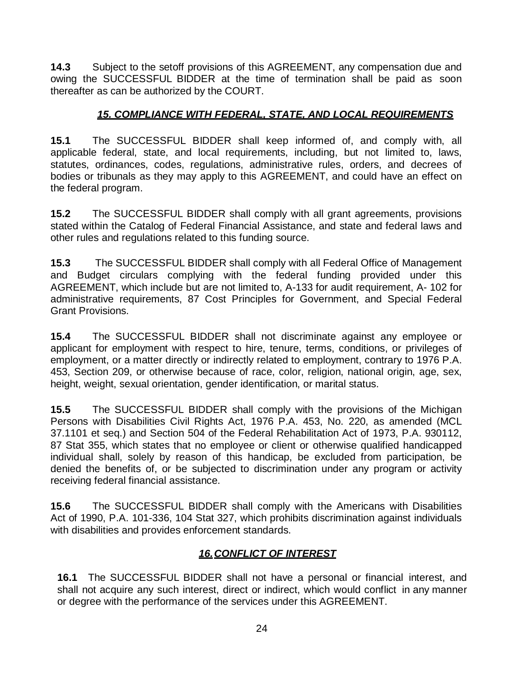**14.3** Subject to the setoff provisions of this AGREEMENT, any compensation due and owing the SUCCESSFUL BIDDER at the time of termination shall be paid as soon thereafter as can be authorized by the COURT.

## *15. COMPLIANCE WITH FEDERAL, STATE, AND LOCAL REQUIREMENTS*

**15.1** The SUCCESSFUL BIDDER shall keep informed of, and comply with, all applicable federal, state, and local requirements, including, but not limited to, laws, statutes, ordinances, codes, regulations, administrative rules, orders, and decrees of bodies or tribunals as they may apply to this AGREEMENT, and could have an effect on the federal program.

**15.2** The SUCCESSFUL BIDDER shall comply with all grant agreements, provisions stated within the Catalog of Federal Financial Assistance, and state and federal laws and other rules and regulations related to this funding source.

**15.3** The SUCCESSFUL BIDDER shall comply with all Federal Office of Management and Budget circulars complying with the federal funding provided under this AGREEMENT, which include but are not limited to, A-133 for audit requirement, A- 102 for administrative requirements, 87 Cost Principles for Government, and Special Federal Grant Provisions.

**15.4** The SUCCESSFUL BIDDER shall not discriminate against any employee or applicant for employment with respect to hire, tenure, terms, conditions, or privileges of employment, or a matter directly or indirectly related to employment, contrary to 1976 P.A. 453, Section 209, or otherwise because of race, color, religion, national origin, age, sex, height, weight, sexual orientation, gender identification, or marital status.

**15.5** The SUCCESSFUL BIDDER shall comply with the provisions of the Michigan Persons with Disabilities Civil Rights Act, 1976 P.A. 453, No. 220, as amended (MCL 37.1101 et seq.) and Section 504 of the Federal Rehabilitation Act of 1973, P.A. 930112, 87 Stat 355, which states that no employee or client or otherwise qualified handicapped individual shall, solely by reason of this handicap, be excluded from participation, be denied the benefits of, or be subjected to discrimination under any program or activity receiving federal financial assistance.

**15.6** The SUCCESSFUL BIDDER shall comply with the Americans with Disabilities Act of 1990, P.A. 101-336, 104 Stat 327, which prohibits discrimination against individuals with disabilities and provides enforcement standards.

## *16.CONFLICT OF INTEREST*

**16.1** The SUCCESSFUL BIDDER shall not have a personal or financial interest, and shall not acquire any such interest, direct or indirect, which would conflict in any manner or degree with the performance of the services under this AGREEMENT.